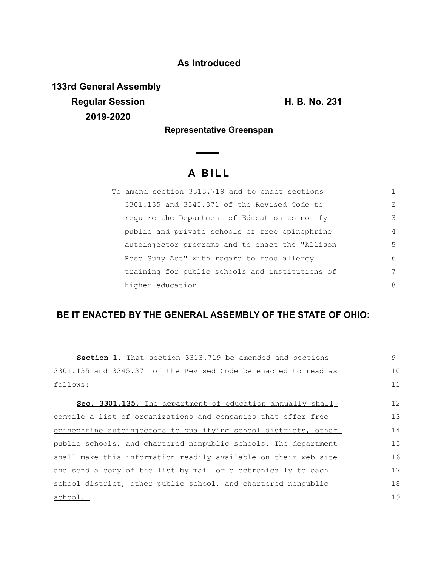## **As Introduced**

**133rd General Assembly Regular Session H. B. No. 231 2019-2020**

**Representative Greenspan**

## **A B I L L**

| To amend section 3313.719 and to enact sections |                |
|-------------------------------------------------|----------------|
| 3301.135 and 3345.371 of the Revised Code to    | $\mathcal{L}$  |
| require the Department of Education to notify   | 3              |
| public and private schools of free epinephrine  | $\overline{4}$ |
| autoinjector programs and to enact the "Allison | 5              |
| Rose Suhy Act" with regard to food allergy      | 6              |
| training for public schools and institutions of | 7              |
| higher education.                               | 8              |

## **BE IT ENACTED BY THE GENERAL ASSEMBLY OF THE STATE OF OHIO:**

| Section 1. That section 3313.719 be amended and sections        | 9  |
|-----------------------------------------------------------------|----|
| 3301.135 and 3345.371 of the Revised Code be enacted to read as | 10 |
| follows:                                                        | 11 |
| Sec. 3301.135. The department of education annually shall       | 12 |
| compile a list of organizations and companies that offer free   | 13 |
| epinephrine autoinjectors to qualifying school districts, other | 14 |
| public schools, and chartered nonpublic schools. The department | 15 |
| shall make this information readily available on their web site | 16 |
| and send a copy of the list by mail or electronically to each   | 17 |
| school district, other public school, and chartered nonpublic   | 18 |
| school.                                                         | 19 |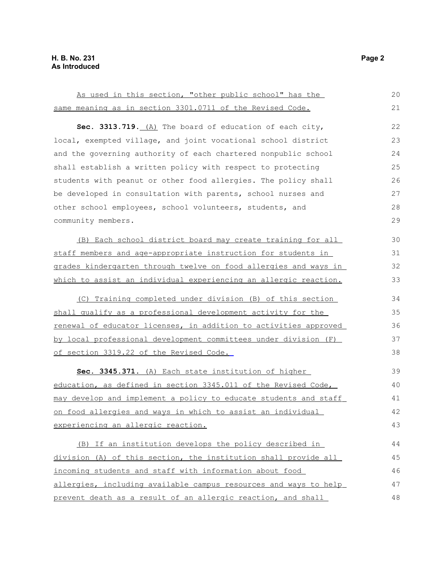| As used in this section, "other public school" has the           | 20 |
|------------------------------------------------------------------|----|
| same meaning as in section 3301.0711 of the Revised Code.        | 21 |
| Sec. 3313.719. (A) The board of education of each city,          | 22 |
| local, exempted village, and joint vocational school district    | 23 |
| and the governing authority of each chartered nonpublic school   | 24 |
| shall establish a written policy with respect to protecting      | 25 |
| students with peanut or other food allergies. The policy shall   | 26 |
| be developed in consultation with parents, school nurses and     | 27 |
| other school employees, school volunteers, students, and         | 28 |
| community members.                                               | 29 |
|                                                                  |    |
| (B) Each school district board may create training for all       | 30 |
| staff members and age-appropriate instruction for students in    | 31 |
| grades kindergarten through twelve on food allergies and ways in | 32 |
| which to assist an individual experiencing an allergic reaction. | 33 |
| (C) Training completed under division (B) of this section        | 34 |
| shall qualify as a professional development activity for the     | 35 |
| renewal of educator licenses, in addition to activities approved | 36 |
| by local professional development committees under division (F)  | 37 |
| of section 3319.22 of the Revised Code.                          | 38 |
| Sec. 3345.371. (A) Each state institution of higher              | 39 |
| education, as defined in section 3345.011 of the Revised Code,   | 40 |
| may develop and implement a policy to educate students and staff | 41 |
| on food allergies and ways in which to assist an individual      | 42 |
| experiencing an allergic reaction.                               | 43 |
|                                                                  |    |
| (B) If an institution develops the policy described in           | 44 |
| division (A) of this section, the institution shall provide all  | 45 |
| incoming students and staff with information about food          | 46 |
| allergies, including available campus resources and ways to help | 47 |
| prevent death as a result of an allergic reaction, and shall     |    |